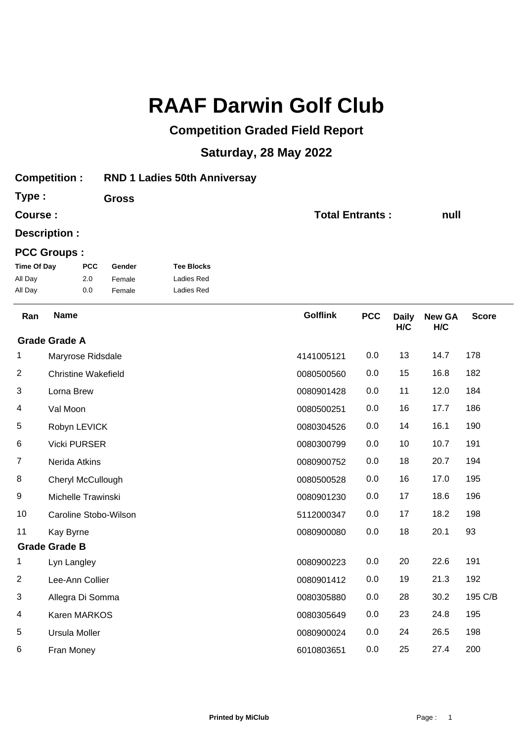## **RAAF Darwin Golf Club**

## **Competition Graded Field Report**

## **Saturday, 28 May 2022**

| <b>Competition:</b>     |                            |            | <b>RND 1 Ladies 50th Anniversay</b> |                   |                        |            |                     |                      |              |  |
|-------------------------|----------------------------|------------|-------------------------------------|-------------------|------------------------|------------|---------------------|----------------------|--------------|--|
| Type:                   |                            |            | <b>Gross</b>                        |                   |                        |            |                     |                      |              |  |
| Course:                 |                            |            |                                     |                   | <b>Total Entrants:</b> |            |                     | null                 |              |  |
|                         | Description :              |            |                                     |                   |                        |            |                     |                      |              |  |
|                         | <b>PCC Groups:</b>         |            |                                     |                   |                        |            |                     |                      |              |  |
| <b>Time Of Day</b>      |                            | <b>PCC</b> | Gender                              | <b>Tee Blocks</b> |                        |            |                     |                      |              |  |
| All Day                 |                            | 2.0        | Female                              | <b>Ladies Red</b> |                        |            |                     |                      |              |  |
| All Day                 |                            | 0.0        | Female                              | Ladies Red        |                        |            |                     |                      |              |  |
| Ran                     | <b>Name</b>                |            |                                     |                   | <b>Golflink</b>        | <b>PCC</b> | <b>Daily</b><br>H/C | <b>New GA</b><br>H/C | <b>Score</b> |  |
|                         | <b>Grade Grade A</b>       |            |                                     |                   |                        |            |                     |                      |              |  |
| 1                       | Maryrose Ridsdale          |            |                                     |                   | 4141005121             | 0.0        | 13                  | 14.7                 | 178          |  |
| 2                       | <b>Christine Wakefield</b> |            |                                     |                   | 0080500560             | 0.0        | 15                  | 16.8                 | 182          |  |
| 3                       | Lorna Brew                 |            |                                     |                   | 0080901428             | 0.0        | 11                  | 12.0                 | 184          |  |
| 4                       | Val Moon                   |            |                                     |                   | 0080500251             | 0.0        | 16                  | 17.7                 | 186          |  |
| 5                       | Robyn LEVICK               |            |                                     |                   | 0080304526             | 0.0        | 14                  | 16.1                 | 190          |  |
| 6                       | <b>Vicki PURSER</b>        |            |                                     |                   | 0080300799             | 0.0        | 10                  | 10.7                 | 191          |  |
| $\overline{7}$          | Nerida Atkins              |            |                                     |                   | 0080900752             | 0.0        | 18                  | 20.7                 | 194          |  |
| 8                       | Cheryl McCullough          |            |                                     |                   | 0080500528             | 0.0        | 16                  | 17.0                 | 195          |  |
| 9                       | Michelle Trawinski         |            |                                     |                   | 0080901230             | 0.0        | 17                  | 18.6                 | 196          |  |
| 10                      |                            |            | Caroline Stobo-Wilson               |                   | 5112000347             | 0.0        | 17                  | 18.2                 | 198          |  |
| 11                      | Kay Byrne                  |            |                                     |                   | 0080900080             | 0.0        | 18                  | 20.1                 | 93           |  |
|                         | <b>Grade Grade B</b>       |            |                                     |                   |                        |            |                     |                      |              |  |
| 1                       | Lyn Langley                |            |                                     |                   | 0080900223             | 0.0        | 20                  | 22.6                 | 191          |  |
| $\overline{\mathbf{c}}$ | Lee-Ann Collier            |            |                                     |                   | 0080901412             | 0.0        | 19                  | 21.3                 | 192          |  |
| 3                       | Allegra Di Somma           |            |                                     |                   | 0080305880             | 0.0        | 28                  | 30.2                 | 195 C/B      |  |
| 4                       | Karen MARKOS               |            |                                     |                   | 0080305649             | 0.0        | 23                  | 24.8                 | 195          |  |
| 5                       | Ursula Moller              |            |                                     |                   | 0080900024             | 0.0        | 24                  | 26.5                 | 198          |  |
| 6                       | Fran Money                 |            |                                     |                   | 6010803651             | 0.0        | 25                  | 27.4                 | 200          |  |